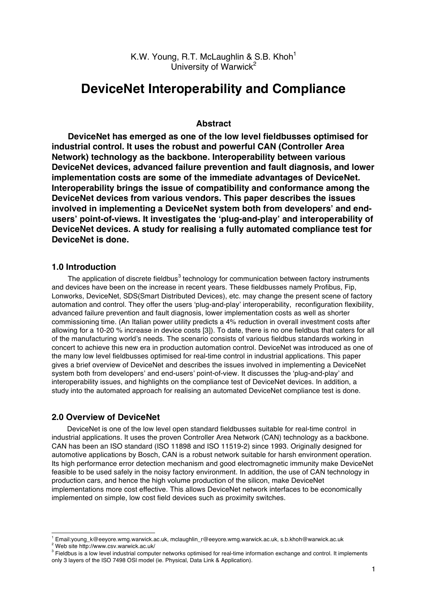K.W. Young, R.T. McLaughlin & S.B. Khoh<sup>1</sup> University of Warwick $2$ 

# **DeviceNet Interoperability and Compliance**

## **Abstract**

**DeviceNet has emerged as one of the low level fieldbusses optimised for industrial control. It uses the robust and powerful CAN (Controller Area Network) technology as the backbone. Interoperability between various DeviceNet devices, advanced failure prevention and fault diagnosis, and lower implementation costs are some of the immediate advantages of DeviceNet. Interoperability brings the issue of compatibility and conformance among the DeviceNet devices from various vendors. This paper describes the issues involved in implementing a DeviceNet system both from developers' and endusers' point-of-views. It investigates the 'plug-and-play' and interoperability of DeviceNet devices. A study for realising a fully automated compliance test for DeviceNet is done.**

### **1.0 Introduction**

The application of discrete fieldbus<sup>3</sup> technology for communication between factory instruments and devices have been on the increase in recent years. These fieldbusses namely Profibus, Fip, Lonworks, DeviceNet, SDS(Smart Distributed Devices), etc. may change the present scene of factory automation and control. They offer the users 'plug-and-play' interoperability, reconfiguration flexibility, advanced failure prevention and fault diagnosis, lower implementation costs as well as shorter commissioning time. (An Italian power utility predicts a 4% reduction in overall investment costs after allowing for a 10-20 % increase in device costs [3]). To date, there is no one fieldbus that caters for all of the manufacturing world's needs. The scenario consists of various fieldbus standards working in concert to achieve this new era in production automation control. DeviceNet was introduced as one of the many low level fieldbusses optimised for real-time control in industrial applications. This paper gives a brief overview of DeviceNet and describes the issues involved in implementing a DeviceNet system both from developers' and end-users' point-of-view. It discusses the 'plug-and-play' and interoperability issues, and highlights on the compliance test of DeviceNet devices. In addition, a study into the automated approach for realising an automated DeviceNet compliance test is done.

## **2.0 Overview of DeviceNet**

DeviceNet is one of the low level open standard fieldbusses suitable for real-time control in industrial applications. It uses the proven Controller Area Network (CAN) technology as a backbone. CAN has been an ISO standard (ISO 11898 and ISO 11519-2) since 1993. Originally designed for automotive applications by Bosch, CAN is a robust network suitable for harsh environment operation. Its high performance error detection mechanism and good electromagnetic immunity make DeviceNet feasible to be used safely in the noisy factory environment. In addition, the use of CAN technology in production cars, and hence the high volume production of the silicon, make DeviceNet implementations more cost effective. This allows DeviceNet network interfaces to be economically implemented on simple, low cost field devices such as proximity switches.

<sup>&</sup>lt;sup>1</sup> Email:young\_k@eeyore.wmg.warwick.ac.uk, mclaughlin\_r@eeyore.wmg.warwick.ac.uk, s.b.khoh@warwick.ac.uk

<sup>2</sup> Web site http://www.csv.warwick.ac.uk/

<sup>&</sup>lt;sup>3</sup> Fieldbus is a low level industrial computer networks optimised for real-time information exchange and control. It implements only 3 layers of the ISO 7498 OSI model (ie. Physical, Data Link & Application).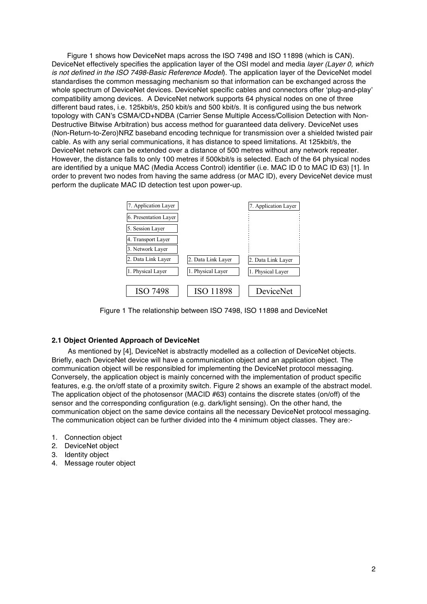Figure 1 shows how DeviceNet maps across the ISO 7498 and ISO 11898 (which is CAN). DeviceNet effectively specifies the application layer of the OSI model and media *layer (Layer 0, which is not defined in the ISO 7498-Basic Reference Model*). The application layer of the DeviceNet model standardises the common messaging mechanism so that information can be exchanged across the whole spectrum of DeviceNet devices. DeviceNet specific cables and connectors offer 'plug-and-play' compatibility among devices. A DeviceNet network supports 64 physical nodes on one of three different baud rates, i.e. 125kbit/s, 250 kbit/s and 500 kbit/s. It is configured using the bus network topology with CAN's CSMA/CD+NDBA (Carrier Sense Multiple Access/Collision Detection with Non-Destructive Bitwise Arbitration) bus access method for guaranteed data delivery. DeviceNet uses (Non-Return-to-Zero)NRZ baseband encoding technique for transmission over a shielded twisted pair cable. As with any serial communications, it has distance to speed limitations. At 125kbit/s, the DeviceNet network can be extended over a distance of 500 metres without any network repeater. However, the distance falls to only 100 metres if 500kbit/s is selected. Each of the 64 physical nodes are identified by a unique MAC (Media Access Control) identifier (i.e. MAC ID 0 to MAC ID 63) [1]. In order to prevent two nodes from having the same address (or MAC ID), every DeviceNet device must perform the duplicate MAC ID detection test upon power-up.

| 7. Application Layer  |                    | 7. Application Layer |
|-----------------------|--------------------|----------------------|
| 6. Presentation Layer |                    |                      |
| 5. Session Laver      |                    |                      |
| 4. Transport Layer    |                    |                      |
| 3. Network Layer      |                    |                      |
| 2. Data Link Layer    | 2. Data Link Layer | 2. Data Link Layer   |
| 1. Physical Layer     | 1. Physical Laver  | 1. Physical Layer    |
|                       |                    |                      |
| <b>ISO 7498</b>       | <b>ISO 11898</b>   | DeviceNet            |

Figure 1 The relationship between ISO 7498, ISO 11898 and DeviceNet

#### **2.1 Object Oriented Approach of DeviceNet**

As mentioned by [4], DeviceNet is abstractly modelled as a collection of DeviceNet objects. Briefly, each DeviceNet device will have a communication object and an application object. The communication object will be responsibled for implementing the DeviceNet protocol messaging. Conversely, the application object is mainly concerned with the implementation of product specific features, e.g. the on/off state of a proximity switch. Figure 2 shows an example of the abstract model. The application object of the photosensor (MACID #63) contains the discrete states (on/off) of the sensor and the corresponding configuration (e.g. dark/light sensing). On the other hand, the communication object on the same device contains all the necessary DeviceNet protocol messaging. The communication object can be further divided into the 4 minimum object classes. They are:-

- 1. Connection object
- 2. DeviceNet object
- 3. Identity object
- 4. Message router object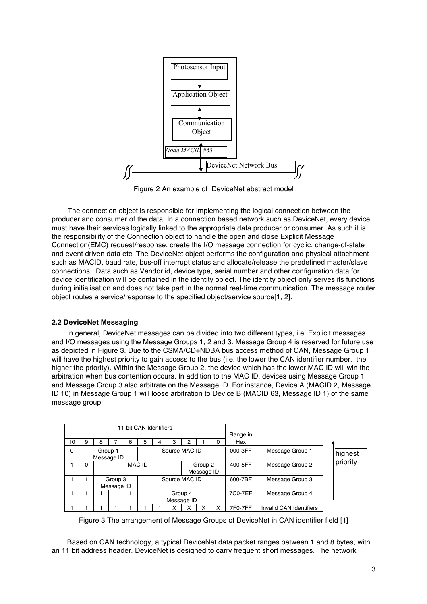

Figure 2 An example of DeviceNet abstract model

The connection object is responsible for implementing the logical connection between the producer and consumer of the data. In a connection based network such as DeviceNet, every device must have their services logically linked to the appropriate data producer or consumer. As such it is the responsibility of the Connection object to handle the open and close Explicit Message Connection(EMC) request/response, create the I/O message connection for cyclic, change-of-state and event driven data etc. The DeviceNet object performs the configuration and physical attachment such as MACID, baud rate, bus-off interrupt status and allocate/release the predefined master/slave connections. Data such as Vendor id, device type, serial number and other configuration data for device identification will be contained in the identity object. The identity object only serves its functions during initialisation and does not take part in the normal real-time communication. The message router object routes a service/response to the specified object/service source[1, 2].

## **2.2 DeviceNet Messaging**

In general, DeviceNet messages can be divided into two different types, i.e. Explicit messages and I/O messages using the Message Groups 1, 2 and 3. Message Group 4 is reserved for future use as depicted in Figure 3. Due to the CSMA/CD+NDBA bus access method of CAN, Message Group 1 will have the highest priority to gain access to the bus (i.e. the lower the CAN identifier number, the higher the priority). Within the Message Group 2, the device which has the lower MAC ID will win the arbitration when bus contention occurs. In addition to the MAC ID, devices using Message Group 1 and Message Group 3 also arbitrate on the Message ID. For instance, Device A (MACID 2, Message ID 10) in Message Group 1 will loose arbitration to Device B (MACID 63, Message ID 1) of the same message group.

| 11-bit CAN Identifiers |                                        |   |                       |   |                       |                       |   |   | Range in |                 |          |                         |         |
|------------------------|----------------------------------------|---|-----------------------|---|-----------------------|-----------------------|---|---|----------|-----------------|----------|-------------------------|---------|
| 10                     | 9                                      | 8 |                       | 6 | 5                     | 4                     | з | 2 |          | ი               | Hex      |                         |         |
| $\Omega$               | Source MAC ID<br>Group 1<br>Message ID |   |                       |   |                       |                       |   |   |          |                 | 000-3FF  | Message Group 1         | highest |
|                        | 0                                      |   |                       |   | <b>MAC ID</b>         | Group 2<br>Message ID |   |   | 400-5FF  | Message Group 2 | priority |                         |         |
|                        |                                        |   | Group 3<br>Message ID |   |                       | Source MAC ID         |   |   |          |                 | 600-7BF  | Message Group 3         |         |
|                        |                                        |   |                       |   | Group 4<br>Message ID |                       |   |   |          |                 | 7C0-7EF  | Message Group 4         |         |
|                        |                                        |   |                       |   |                       |                       | ́ |   |          |                 | 7F0-7FF  | Invalid CAN Identifiers |         |

Figure 3 The arrangement of Message Groups of DeviceNet in CAN identifier field [1]

Based on CAN technology, a typical DeviceNet data packet ranges between 1 and 8 bytes, with an 11 bit address header. DeviceNet is designed to carry frequent short messages. The network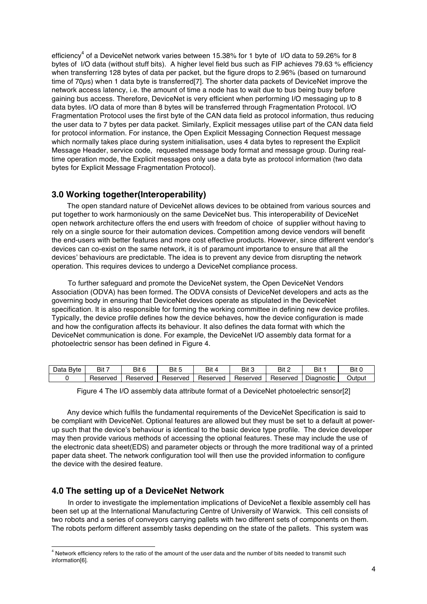efficiency<sup>4</sup> of a DeviceNet network varies between 15.38% for 1 byte of I/O data to 59.26% for 8 bytes of I/O data (without stuff bits). A higher level field bus such as FIP achieves 79.63 % efficiency when transferring 128 bytes of data per packet, but the figure drops to 2.96% (based on turnaround time of 70 $\mu$ s) when 1 data byte is transferred[7]. The shorter data packets of DeviceNet improve the network access latency, i.e. the amount of time a node has to wait due to bus being busy before gaining bus access. Therefore, DeviceNet is very efficient when performing I/O messaging up to 8 data bytes. I/O data of more than 8 bytes will be transferred through Fragmentation Protocol. I/O Fragmentation Protocol uses the first byte of the CAN data field as protocol information, thus reducing the user data to 7 bytes per data packet. Similarly, Explicit messages utilise part of the CAN data field for protocol information. For instance, the Open Explicit Messaging Connection Request message which normally takes place during system initialisation, uses 4 data bytes to represent the Explicit Message Header, service code, requested message body format and message group. During realtime operation mode, the Explicit messages only use a data byte as protocol information (two data bytes for Explicit Message Fragmentation Protocol).

# **3.0 Working together(Interoperability)**

The open standard nature of DeviceNet allows devices to be obtained from various sources and put together to work harmoniously on the same DeviceNet bus. This interoperability of DeviceNet open network architecture offers the end users with freedom of choice of supplier without having to rely on a single source for their automation devices. Competition among device vendors will benefit the end-users with better features and more cost effective products. However, since different vendor's devices can co-exist on the same network, it is of paramount importance to ensure that all the devices' behaviours are predictable. The idea is to prevent any device from disrupting the network operation. This requires devices to undergo a DeviceNet compliance process.

To further safeguard and promote the DeviceNet system, the Open DeviceNet Vendors Association (ODVA) has been formed. The ODVA consists of DeviceNet developers and acts as the governing body in ensuring that DeviceNet devices operate as stipulated in the DeviceNet specification. It is also responsible for forming the working committee in defining new device profiles. Typically, the device profile defines how the device behaves, how the device configuration is made and how the configuration affects its behaviour. It also defines the data format with which the DeviceNet communication is done. For example, the DeviceNet I/O assembly data format for a photoelectric sensor has been defined in Figure 4.

| -<br>Data<br><b>B</b> vte | Bit 7    | Bit 6    | Bit 5    | Bit      | Bit 3    | Bit      | Bit        | Bit (  |
|---------------------------|----------|----------|----------|----------|----------|----------|------------|--------|
|                           | Reserved | Reserved | Reserved | Reserved | Reserved | Reserved | Diagnostic | Jutput |

Figure 4 The I/O assembly data attribute format of a DeviceNet photoelectric sensor[2]

Any device which fulfils the fundamental requirements of the DeviceNet Specification is said to be compliant with DeviceNet. Optional features are allowed but they must be set to a default at powerup such that the device's behaviour is identical to the basic device type profile. The device developer may then provide various methods of accessing the optional features. These may include the use of the electronic data sheet(EDS) and parameter objects or through the more traditional way of a printed paper data sheet. The network configuration tool will then use the provided information to configure the device with the desired feature.

## **4.0 The setting up of a DeviceNet Network**

In order to investigate the implementation implications of DeviceNet a flexible assembly cell has been set up at the International Manufacturing Centre of University of Warwick. This cell consists of two robots and a series of conveyors carrying pallets with two different sets of components on them. The robots perform different assembly tasks depending on the state of the pallets. This system was

 $<sup>4</sup>$  Network efficiency refers to the ratio of the amount of the user data and the number of bits needed to transmit such</sup> information[6].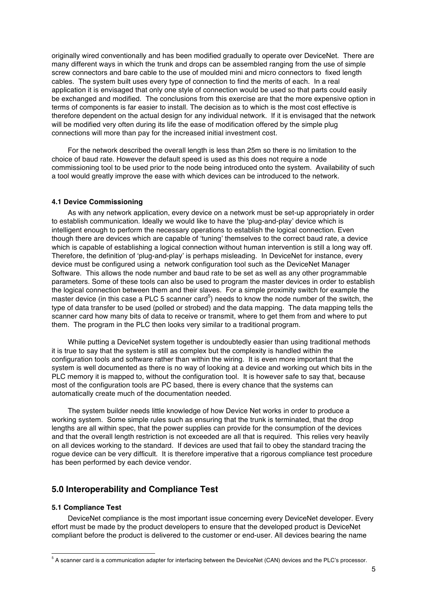originally wired conventionally and has been modified gradually to operate over DeviceNet. There are many different ways in which the trunk and drops can be assembled ranging from the use of simple screw connectors and bare cable to the use of moulded mini and micro connectors to fixed length cables. The system built uses every type of connection to find the merits of each. In a real application it is envisaged that only one style of connection would be used so that parts could easily be exchanged and modified. The conclusions from this exercise are that the more expensive option in terms of components is far easier to install. The decision as to which is the most cost effective is therefore dependent on the actual design for any individual network. If it is envisaged that the network will be modified very often during its life the ease of modification offered by the simple plug connections will more than pay for the increased initial investment cost.

For the network described the overall length is less than 25m so there is no limitation to the choice of baud rate. However the default speed is used as this does not require a node commissioning tool to be used prior to the node being introduced onto the system. Availability of such a tool would greatly improve the ease with which devices can be introduced to the network.

## **4.1 Device Commissioning**

As with any network application, every device on a network must be set-up appropriately in order to establish communication. Ideally we would like to have the 'plug-and-play' device which is intelligent enough to perform the necessary operations to establish the logical connection. Even though there are devices which are capable of 'tuning' themselves to the correct baud rate, a device which is capable of establishing a logical connection without human intervention is still a long way off. Therefore, the definition of 'plug-and-play' is perhaps misleading. In DeviceNet for instance, every device must be configured using a network configuration tool such as the DeviceNet Manager Software. This allows the node number and baud rate to be set as well as any other programmable parameters. Some of these tools can also be used to program the master devices in order to establish the logical connection between them and their slaves. For a simple proximity switch for example the master device (in this case a PLC 5 scanner card<sup>5</sup>) needs to know the node number of the switch, the type of data transfer to be used (polled or strobed) and the data mapping. The data mapping tells the scanner card how many bits of data to receive or transmit, where to get them from and where to put them. The program in the PLC then looks very similar to a traditional program.

While putting a DeviceNet system together is undoubtedly easier than using traditional methods it is true to say that the system is still as complex but the complexity is handled within the configuration tools and software rather than within the wiring. It is even more important that the system is well documented as there is no way of looking at a device and working out which bits in the PLC memory it is mapped to, without the configuration tool. It is however safe to say that, because most of the configuration tools are PC based, there is every chance that the systems can automatically create much of the documentation needed.

The system builder needs little knowledge of how Device Net works in order to produce a working system. Some simple rules such as ensuring that the trunk is terminated, that the drop lengths are all within spec, that the power supplies can provide for the consumption of the devices and that the overall length restriction is not exceeded are all that is required. This relies very heavily on all devices working to the standard. If devices are used that fail to obey the standard tracing the rogue device can be very difficult. It is therefore imperative that a rigorous compliance test procedure has been performed by each device vendor.

# **5.0 Interoperability and Compliance Test**

#### **5.1 Compliance Test**

DeviceNet compliance is the most important issue concerning every DeviceNet developer. Every effort must be made by the product developers to ensure that the developed product is DeviceNet compliant before the product is delivered to the customer or end-user. All devices bearing the name

<sup>&</sup>lt;sup>5</sup> A scanner card is a communication adapter for interfacing between the DeviceNet (CAN) devices and the PLC's processor.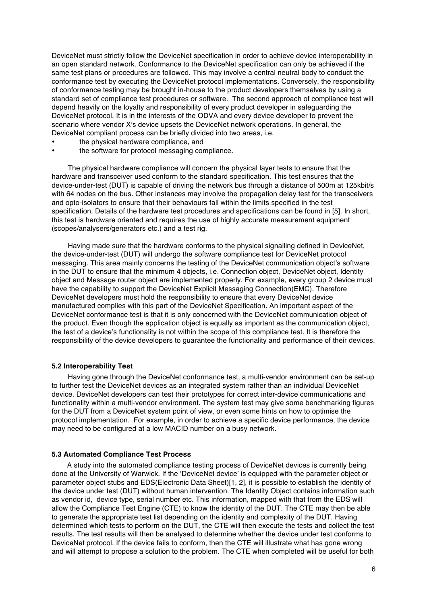DeviceNet must strictly follow the DeviceNet specification in order to achieve device interoperability in an open standard network. Conformance to the DeviceNet specification can only be achieved if the same test plans or procedures are followed. This may involve a central neutral body to conduct the conformance test by executing the DeviceNet protocol implementations. Conversely, the responsibility of conformance testing may be brought in-house to the product developers themselves by using a standard set of compliance test procedures or software. The second approach of compliance test will depend heavily on the loyalty and responsibility of every product developer in safeguarding the DeviceNet protocol. It is in the interests of the ODVA and every device developer to prevent the scenario where vendor X's device upsets the DeviceNet network operations. In general, the DeviceNet compliant process can be briefly divided into two areas, i.e.

- the physical hardware compliance, and
- the software for protocol messaging compliance.

The physical hardware compliance will concern the physical layer tests to ensure that the hardware and transceiver used conform to the standard specification. This test ensures that the device-under-test (DUT) is capable of driving the network bus through a distance of 500m at 125kbit/s with 64 nodes on the bus. Other instances may involve the propagation delay test for the transceivers and opto-isolators to ensure that their behaviours fall within the limits specified in the test specification. Details of the hardware test procedures and specifications can be found in [5]. In short, this test is hardware oriented and requires the use of highly accurate measurement equipment (scopes/analysers/generators etc.) and a test rig.

Having made sure that the hardware conforms to the physical signalling defined in DeviceNet, the device-under-test (DUT) will undergo the software compliance test for DeviceNet protocol messaging. This area mainly concerns the testing of the DeviceNet communication object's software in the DUT to ensure that the minimum 4 objects, i.e. Connection object, DeviceNet object, Identity object and Message router object are implemented properly. For example, every group 2 device must have the capability to support the DeviceNet Explicit Messaging Connection(EMC). Therefore DeviceNet developers must hold the responsibility to ensure that every DeviceNet device manufactured complies with this part of the DeviceNet Specification. An important aspect of the DeviceNet conformance test is that it is only concerned with the DeviceNet communication object of the product. Even though the application object is equally as important as the communication object, the test of a device's functionality is not within the scope of this compliance test. It is therefore the responsibility of the device developers to guarantee the functionality and performance of their devices.

#### **5.2 Interoperability Test**

Having gone through the DeviceNet conformance test, a multi-vendor environment can be set-up to further test the DeviceNet devices as an integrated system rather than an individual DeviceNet device. DeviceNet developers can test their prototypes for correct inter-device communications and functionality within a multi-vendor environment. The system test may give some benchmarking figures for the DUT from a DeviceNet system point of view, or even some hints on how to optimise the protocol implementation. For example, in order to achieve a specific device performance, the device may need to be configured at a low MACID number on a busy network.

#### **5.3 Automated Compliance Test Process**

A study into the automated compliance testing process of DeviceNet devices is currently being done at the University of Warwick. If the 'DeviceNet device' is equipped with the parameter object or parameter object stubs and EDS(Electronic Data Sheet)[1, 2], it is possible to establish the identity of the device under test (DUT) without human intervention. The Identity Object contains information such as vendor id, device type, serial number etc. This information, mapped with that from the EDS will allow the Compliance Test Engine (CTE) to know the identity of the DUT. The CTE may then be able to generate the appropriate test list depending on the identity and complexity of the DUT. Having determined which tests to perform on the DUT, the CTE will then execute the tests and collect the test results. The test results will then be analysed to determine whether the device under test conforms to DeviceNet protocol. If the device fails to conform, then the CTE will illustrate what has gone wrong and will attempt to propose a solution to the problem. The CTE when completed will be useful for both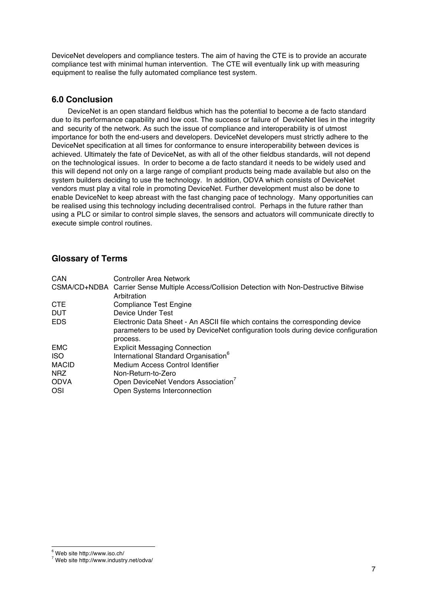DeviceNet developers and compliance testers. The aim of having the CTE is to provide an accurate compliance test with minimal human intervention. The CTE will eventually link up with measuring equipment to realise the fully automated compliance test system.

# **6.0 Conclusion**

DeviceNet is an open standard fieldbus which has the potential to become a de facto standard due to its performance capability and low cost. The success or failure of DeviceNet lies in the integrity and security of the network. As such the issue of compliance and interoperability is of utmost importance for both the end-users and developers. DeviceNet developers must strictly adhere to the DeviceNet specification at all times for conformance to ensure interoperability between devices is achieved. Ultimately the fate of DeviceNet, as with all of the other fieldbus standards, will not depend on the technological issues. In order to become a de facto standard it needs to be widely used and this will depend not only on a large range of compliant products being made available but also on the system builders deciding to use the technology. In addition, ODVA which consists of DeviceNet vendors must play a vital role in promoting DeviceNet. Further development must also be done to enable DeviceNet to keep abreast with the fast changing pace of technology. Many opportunities can be realised using this technology including decentralised control. Perhaps in the future rather than using a PLC or similar to control simple slaves, the sensors and actuators will communicate directly to execute simple control routines.

# **Glossary of Terms**

| CAN          | <b>Controller Area Network</b>                                                                             |
|--------------|------------------------------------------------------------------------------------------------------------|
|              | CSMA/CD+NDBA Carrier Sense Multiple Access/Collision Detection with Non-Destructive Bitwise<br>Arbitration |
| <b>CTE</b>   | <b>Compliance Test Engine</b>                                                                              |
| <b>DUT</b>   | Device Under Test                                                                                          |
| <b>EDS</b>   | Electronic Data Sheet - An ASCII file which contains the corresponding device                              |
|              | parameters to be used by DeviceNet configuration tools during device configuration                         |
|              | process.                                                                                                   |
| <b>EMC</b>   | <b>Explicit Messaging Connection</b>                                                                       |
| <b>ISO</b>   | International Standard Organisation <sup>6</sup>                                                           |
| <b>MACID</b> | Medium Access Control Identifier                                                                           |
| <b>NRZ</b>   | Non-Return-to-Zero                                                                                         |
| <b>ODVA</b>  | Open DeviceNet Vendors Association <sup>7</sup>                                                            |
| OSI          | Open Systems Interconnection                                                                               |

 <sup>6</sup> Web site http://www.iso.ch/

<sup>7</sup> Web site http://www.industry.net/odva/